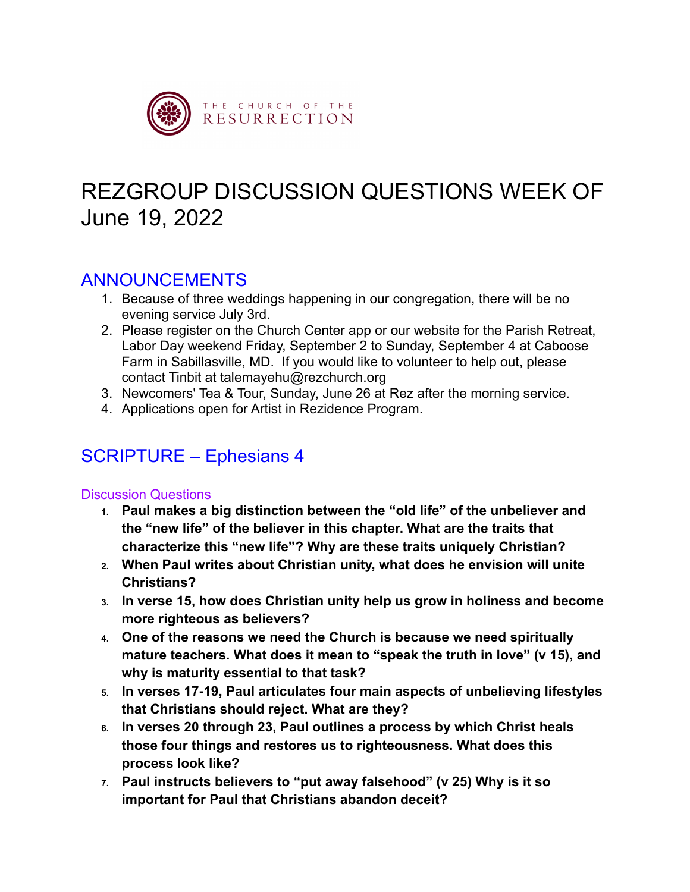

# REZGROUP DISCUSSION QUESTIONS WEEK OF June 19, 2022

### ANNOUNCEMENTS

- 1. Because of three weddings happening in our congregation, there will be no evening service July 3rd.
- 2. Please register on the Church Center app or our website for the Parish Retreat, Labor Day weekend Friday, September 2 to Sunday, September 4 at Caboose Farm in Sabillasville, MD. If you would like to volunteer to help out, please contact Tinbit at talemayehu@rezchurch.org
- 3. Newcomers' Tea & Tour, Sunday, June 26 at Rez after the morning service.
- 4. Applications open for Artist in Rezidence Program.

## SCRIPTURE – Ephesians 4

#### Discussion Questions

- **1. Paul makes a big distinction between the "old life" of the unbeliever and the "new life" of the believer in this chapter. What are the traits that characterize this "new life"? Why are these traits uniquely Christian?**
- **2. When Paul writes about Christian unity, what does he envision will unite Christians?**
- **3. In verse 15, how does Christian unity help us grow in holiness and become more righteous as believers?**
- **4. One of the reasons we need the Church is because we need spiritually mature teachers. What does it mean to "speak the truth in love" (v 15), and why is maturity essential to that task?**
- **5. In verses 17-19, Paul articulates four main aspects of unbelieving lifestyles that Christians should reject. What are they?**
- **6. In verses 20 through 23, Paul outlines a process by which Christ heals those four things and restores us to righteousness. What does this process look like?**
- **7. Paul instructs believers to "put away falsehood" (v 25) Why is it so important for Paul that Christians abandon deceit?**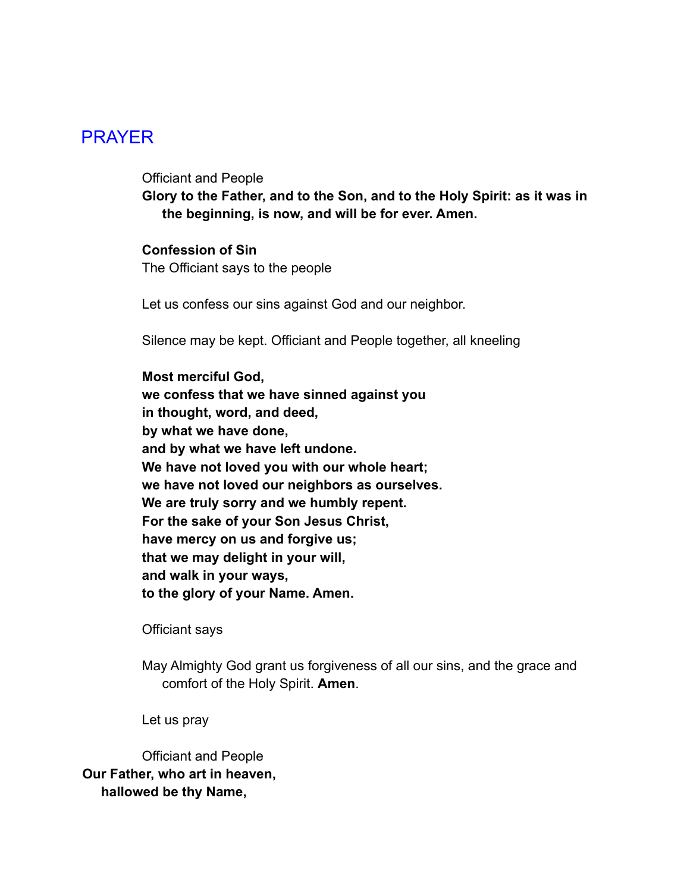### PRAYER

Officiant and People

**Glory to the Father, and to the Son, and to the Holy Spirit: as it was in the beginning, is now, and will be for ever. Amen.**

#### **Confession of Sin**

The Officiant says to the people

Let us confess our sins against God and our neighbor.

Silence may be kept. Officiant and People together, all kneeling

**Most merciful God, we confess that we have sinned against you in thought, word, and deed, by what we have done, and by what we have left undone. We have not loved you with our whole heart; we have not loved our neighbors as ourselves. We are truly sorry and we humbly repent. For the sake of your Son Jesus Christ, have mercy on us and forgive us; that we may delight in your will, and walk in your ways, to the glory of your Name. Amen.**

Officiant says

May Almighty God grant us forgiveness of all our sins, and the grace and comfort of the Holy Spirit. **Amen**.

Let us pray

Officiant and People **Our Father, who art in heaven, hallowed be thy Name,**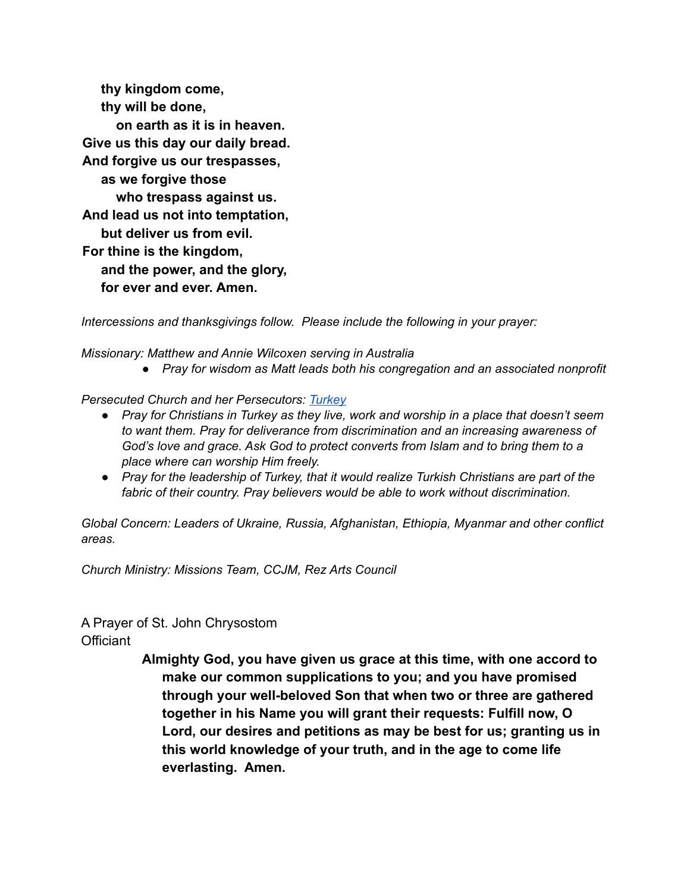**thy kingdom come, thy will be done, on earth as it is in heaven. Give us this day our daily bread. And forgive us our trespasses, as we forgive those who trespass against us. And lead us not into temptation, but deliver us from evil. For thine is the kingdom, and the power, and the glory, for ever and ever. Amen.**

*Intercessions and thanksgivings follow. Please include the following in your prayer:*

*Missionary: Matthew and Annie Wilcoxen serving in Australia*

*● Pray for wisdom as Matt leads both his congregation and an associated nonprofit*

*Persecuted Church and her Persecutors: [Turkey](https://www.opendoorsusa.org/christian-persecution/world-watch-list/turkey/)*

- *● Pray for Christians in Turkey as they live, work and worship in a place that doesn't seem to want them. Pray for deliverance from discrimination and an increasing awareness of God's love and grace. Ask God to protect converts from Islam and to bring them to a place where can worship Him freely.*
- *● Pray for the leadership of Turkey, that it would realize Turkish Christians are part of the fabric of their country. Pray believers would be able to work without discrimination.*

*Global Concern: Leaders of Ukraine, Russia, Afghanistan, Ethiopia, Myanmar and other conflict areas.* 

*Church Ministry: Missions Team, CCJM, Rez Arts Council*

#### A Prayer of St. John Chrysostom

**Officiant** 

**Almighty God, you have given us grace at this time, with one accord to make our common supplications to you; and you have promised through your well-beloved Son that when two or three are gathered together in his Name you will grant their requests: Fulfill now, O Lord, our desires and petitions as may be best for us; granting us in this world knowledge of your truth, and in the age to come life everlasting. Amen.**